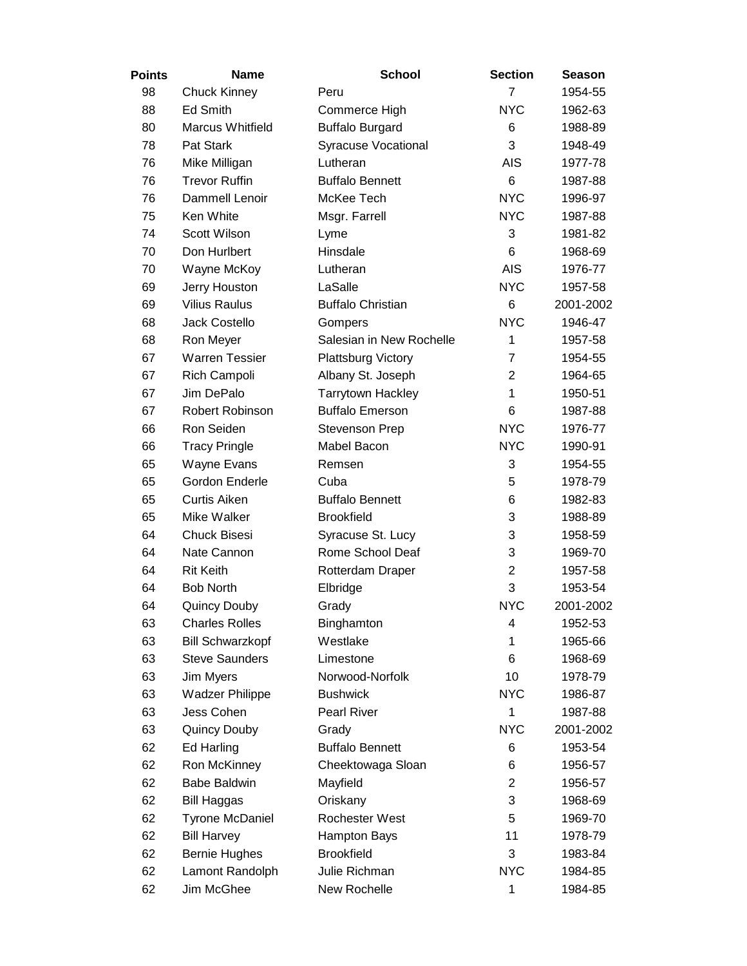| <b>Points</b> | <b>Name</b>                                      | <b>School</b>              | <b>Section</b> | <b>Season</b>      |
|---------------|--------------------------------------------------|----------------------------|----------------|--------------------|
| 98            | <b>Chuck Kinney</b>                              | Peru                       | $\overline{7}$ | 1954-55            |
| 88            | <b>Ed Smith</b>                                  | Commerce High              | <b>NYC</b>     | 1962-63            |
| 80            | <b>Marcus Whitfield</b>                          | <b>Buffalo Burgard</b>     | 6              | 1988-89            |
| 78            | Pat Stark                                        | <b>Syracuse Vocational</b> | 3              | 1948-49            |
| 76            | Mike Milligan                                    | Lutheran                   | <b>AIS</b>     | 1977-78            |
| 76            | <b>Trevor Ruffin</b>                             | <b>Buffalo Bennett</b>     | 6              | 1987-88            |
| 76            | Dammell Lenoir                                   | McKee Tech                 | <b>NYC</b>     | 1996-97            |
| 75            | Ken White                                        | Msgr. Farrell              | <b>NYC</b>     | 1987-88            |
| 74            | Scott Wilson                                     | Lyme                       | 3              | 1981-82            |
| 70            | Don Hurlbert                                     | Hinsdale                   | 6              | 1968-69            |
| 70            | Wayne McKoy                                      | Lutheran                   | <b>AIS</b>     | 1976-77            |
| 69            | Jerry Houston                                    | LaSalle                    | <b>NYC</b>     | 1957-58            |
| 69            | <b>Vilius Raulus</b>                             | <b>Buffalo Christian</b>   | 6              | 2001-2002          |
| 68            | <b>Jack Costello</b>                             | Gompers                    | <b>NYC</b>     | 1946-47            |
| 68            | Ron Meyer                                        | Salesian in New Rochelle   | 1              | 1957-58            |
| 67            | <b>Warren Tessier</b>                            | <b>Plattsburg Victory</b>  | 7              | 1954-55            |
| 67            | Rich Campoli                                     | Albany St. Joseph          | $\overline{2}$ | 1964-65            |
| 67            | Jim DePalo                                       | <b>Tarrytown Hackley</b>   | 1              | 1950-51            |
| 67            | Robert Robinson                                  | <b>Buffalo Emerson</b>     | 6              | 1987-88            |
| 66            | Ron Seiden                                       | Stevenson Prep             | <b>NYC</b>     | 1976-77            |
| 66            | <b>Tracy Pringle</b>                             | Mabel Bacon                | <b>NYC</b>     | 1990-91            |
| 65            | Wayne Evans                                      | Remsen                     | 3              | 1954-55            |
| 65            | Gordon Enderle                                   | Cuba                       | 5              | 1978-79            |
| 65            | <b>Curtis Aiken</b>                              | <b>Buffalo Bennett</b>     | 6              | 1982-83            |
| 65            | Mike Walker                                      | <b>Brookfield</b>          | 3              | 1988-89            |
| 64            | <b>Chuck Bisesi</b>                              | Syracuse St. Lucy          | 3              | 1958-59            |
| 64            | Nate Cannon                                      | Rome School Deaf           | 3              | 1969-70            |
| 64            | <b>Rit Keith</b>                                 | Rotterdam Draper           | $\overline{2}$ | 1957-58            |
| 64            | <b>Bob North</b>                                 | Elbridge                   | 3              | 1953-54            |
| 64            | <b>Quincy Douby</b>                              | Grady                      | <b>NYC</b>     | 2001-2002          |
| 63            | <b>Charles Rolles</b>                            | Binghamton<br>Westlake     | 4<br>1         | 1952-53            |
| 63<br>63      | <b>Bill Schwarzkopf</b><br><b>Steve Saunders</b> | Limestone                  | 6              | 1965-66<br>1968-69 |
| 63            | Jim Myers                                        | Norwood-Norfolk            | 10             | 1978-79            |
| 63            | Wadzer Philippe                                  | <b>Bushwick</b>            | <b>NYC</b>     | 1986-87            |
| 63            | Jess Cohen                                       | Pearl River                | 1              | 1987-88            |
| 63            | <b>Quincy Douby</b>                              | Grady                      | <b>NYC</b>     | 2001-2002          |
| 62            | <b>Ed Harling</b>                                | <b>Buffalo Bennett</b>     | 6              | 1953-54            |
| 62            | Ron McKinney                                     | Cheektowaga Sloan          | 6              | 1956-57            |
| 62            | <b>Babe Baldwin</b>                              | Mayfield                   | $\overline{2}$ | 1956-57            |
| 62            | <b>Bill Haggas</b>                               | Oriskany                   | 3              | 1968-69            |
| 62            | <b>Tyrone McDaniel</b>                           | Rochester West             | 5              | 1969-70            |
| 62            | <b>Bill Harvey</b>                               | <b>Hampton Bays</b>        | 11             | 1978-79            |
| 62            | <b>Bernie Hughes</b>                             | <b>Brookfield</b>          | 3              | 1983-84            |
| 62            | Lamont Randolph                                  | Julie Richman              | <b>NYC</b>     | 1984-85            |
| 62            | Jim McGhee                                       | New Rochelle               | 1              | 1984-85            |
|               |                                                  |                            |                |                    |